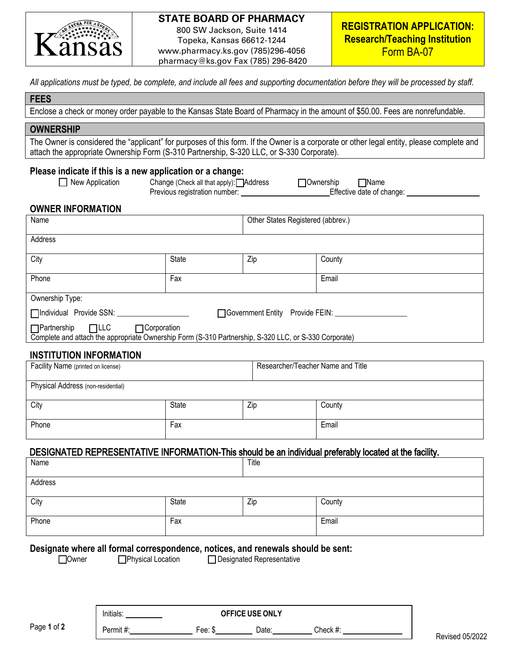

### **STATE BOARD OF PHARMACY**

800 SW Jackson, Suite 1414 Topeka, Kansas 66612-1244 www.pharmacy.ks.gov (785)296-4056 pharmacy@ks.gov Fax (785) 296-8420

*All applications must be typed, be complete, and include all fees and supporting documentation before they will be processed by staff.*

### **FEES**

Enclose a check or money order payable to the Kansas State Board of Pharmacy in the amount of \$50.00. Fees are nonrefundable.

#### **OWNERSHIP**

The Owner is considered the "applicant" for purposes of this form. If the Owner is a corporate or other legal entity, please complete and attach the appropriate Ownership Form (S-310 Partnership, S-320 LLC, or S-330 Corporate).

### **Please indicate if this is a new application or a change:**

|  | New Application |  |
|--|-----------------|--|
|--|-----------------|--|

New Application Change (Check all that apply): **Address Ownership** Mame Previous registration number: Effective date of change:

# **OWNER INFORMATION**

| Name                                                                                                                                                   |              | Other States Registered (abbrev.) |        |  |
|--------------------------------------------------------------------------------------------------------------------------------------------------------|--------------|-----------------------------------|--------|--|
| Address                                                                                                                                                |              |                                   |        |  |
| City                                                                                                                                                   | <b>State</b> | Zip                               | County |  |
| Phone                                                                                                                                                  | Fax          |                                   | Email  |  |
| Ownership Type:                                                                                                                                        |              |                                   |        |  |
| □Individual Provide SSN:<br>□ Government Entity Provide FEIN:                                                                                          |              |                                   |        |  |
| $\Box$ Partnership $\Box$ LLC<br>□Corporation<br>Complete and attach the appropriate Ownership Form (S-310 Partnership, S-320 LLC, or S-330 Corporate) |              |                                   |        |  |
|                                                                                                                                                        |              |                                   |        |  |

### **INSTITUTION INFORMATION**

| Facility Name (printed on license) |       | Researcher/Teacher Name and Title |        |
|------------------------------------|-------|-----------------------------------|--------|
| Physical Address (non-residential) |       |                                   |        |
| City                               | State | Zip                               | County |
| Phone                              | Fax   |                                   | Email  |

# DESIGNATED REPRESENTATIVE INFORMATION-This should be an individual preferably located at the facility.

| Name    |       | Title |        |
|---------|-------|-------|--------|
| Address |       |       |        |
| City    | State | Zip   | County |
| Phone   | Fax   |       | Email  |

#### **Designate where all formal correspondence, notices, and renewals should be sent:**

Owner Physical Location Designated Representative

Page **1** of **2**

Initials: **OFFICE USE ONLY** Permit #: Fee: \$ Date: Check #:

Revised 05/2022